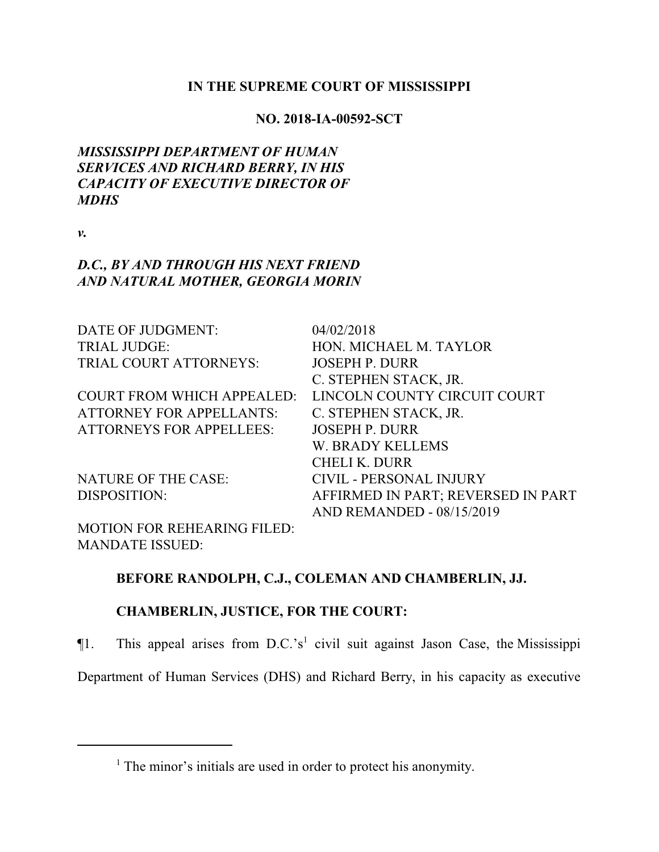### **IN THE SUPREME COURT OF MISSISSIPPI**

#### **NO. 2018-IA-00592-SCT**

# *MISSISSIPPI DEPARTMENT OF HUMAN SERVICES AND RICHARD BERRY, IN HIS CAPACITY OF EXECUTIVE DIRECTOR OF MDHS*

*v.*

## *D.C., BY AND THROUGH HIS NEXT FRIEND AND NATURAL MOTHER, GEORGIA MORIN*

| DATE OF JUDGMENT:                 | 04/02/2018                         |
|-----------------------------------|------------------------------------|
| <b>TRIAL JUDGE:</b>               | HON. MICHAEL M. TAYLOR             |
| TRIAL COURT ATTORNEYS:            | <b>JOSEPH P. DURR</b>              |
|                                   | C. STEPHEN STACK, JR.              |
| <b>COURT FROM WHICH APPEALED:</b> | LINCOLN COUNTY CIRCUIT COURT       |
| <b>ATTORNEY FOR APPELLANTS:</b>   | C. STEPHEN STACK, JR.              |
| <b>ATTORNEYS FOR APPELLEES:</b>   | <b>JOSEPH P. DURR</b>              |
|                                   | <b>W. BRADY KELLEMS</b>            |
|                                   | <b>CHELI K. DURR</b>               |
| <b>NATURE OF THE CASE:</b>        | <b>CIVIL - PERSONAL INJURY</b>     |
| DISPOSITION:                      | AFFIRMED IN PART; REVERSED IN PART |
|                                   | <b>AND REMANDED - 08/15/2019</b>   |

MOTION FOR REHEARING FILED: MANDATE ISSUED:

### **BEFORE RANDOLPH, C.J., COLEMAN AND CHAMBERLIN, JJ.**

# **CHAMBERLIN, JUSTICE, FOR THE COURT:**

¶1. This appeal arises from D.C.'s 1 civil suit against Jason Case, the Mississippi

Department of Human Services (DHS) and Richard Berry, in his capacity as executive

<sup>&</sup>lt;sup>1</sup> The minor's initials are used in order to protect his anonymity.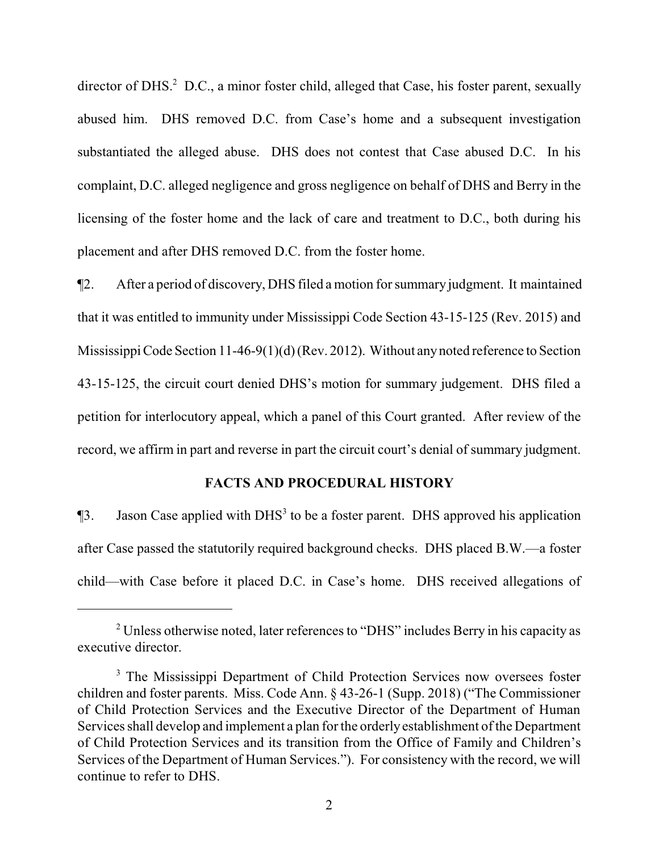director of DHS.<sup>2</sup> D.C., a minor foster child, alleged that Case, his foster parent, sexually abused him. DHS removed D.C. from Case's home and a subsequent investigation substantiated the alleged abuse. DHS does not contest that Case abused D.C. In his complaint, D.C. alleged negligence and gross negligence on behalf of DHS and Berry in the licensing of the foster home and the lack of care and treatment to D.C., both during his placement and after DHS removed D.C. from the foster home.

¶2. After a period of discovery, DHS filed a motion for summary judgment. It maintained that it was entitled to immunity under Mississippi Code Section 43-15-125 (Rev. 2015) and Mississippi Code Section 11-46-9(1)(d) (Rev. 2012). Without anynoted reference to Section 43-15-125, the circuit court denied DHS's motion for summary judgement. DHS filed a petition for interlocutory appeal, which a panel of this Court granted. After review of the record, we affirm in part and reverse in part the circuit court's denial of summary judgment.

#### **FACTS AND PROCEDURAL HISTORY**

 $\P$ 3. Jason Case applied with DHS<sup>3</sup> to be a foster parent. DHS approved his application after Case passed the statutorily required background checks. DHS placed B.W.—a foster child—with Case before it placed D.C. in Case's home. DHS received allegations of

<sup>&</sup>lt;sup>2</sup> Unless otherwise noted, later references to "DHS" includes Berry in his capacity as executive director.

<sup>&</sup>lt;sup>3</sup> The Mississippi Department of Child Protection Services now oversees foster children and foster parents. Miss. Code Ann. § 43-26-1 (Supp. 2018) ("The Commissioner of Child Protection Services and the Executive Director of the Department of Human Services shall develop and implement a plan for the orderlyestablishment of the Department of Child Protection Services and its transition from the Office of Family and Children's Services of the Department of Human Services."). For consistency with the record, we will continue to refer to DHS.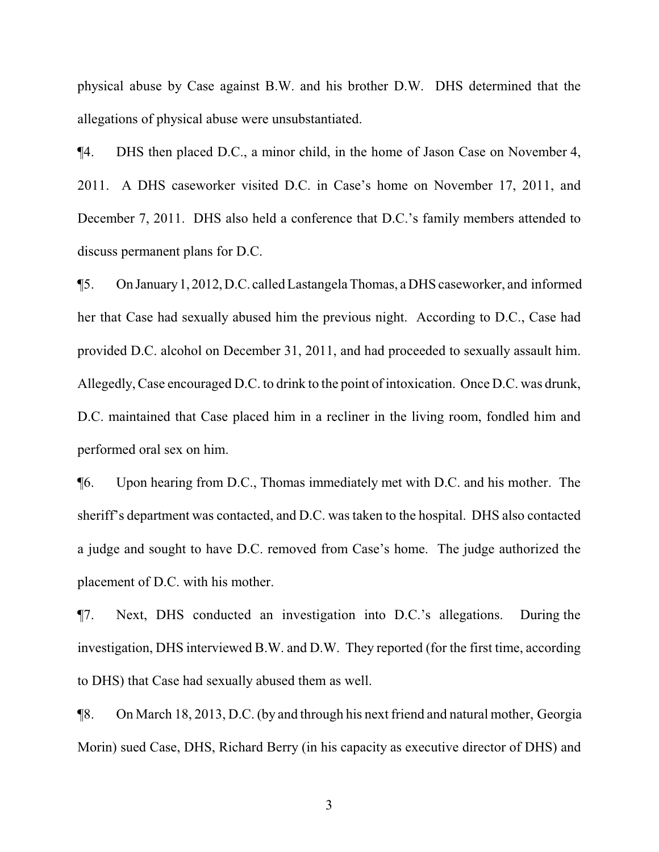physical abuse by Case against B.W. and his brother D.W. DHS determined that the allegations of physical abuse were unsubstantiated.

¶4. DHS then placed D.C., a minor child, in the home of Jason Case on November 4, 2011. A DHS caseworker visited D.C. in Case's home on November 17, 2011, and December 7, 2011. DHS also held a conference that D.C.'s family members attended to discuss permanent plans for D.C.

¶5. On January1, 2012,D.C. called Lastangela Thomas, a DHS caseworker, and informed her that Case had sexually abused him the previous night. According to D.C., Case had provided D.C. alcohol on December 31, 2011, and had proceeded to sexually assault him. Allegedly, Case encouraged D.C. to drink to the point of intoxication. Once D.C. was drunk, D.C. maintained that Case placed him in a recliner in the living room, fondled him and performed oral sex on him.

¶6. Upon hearing from D.C., Thomas immediately met with D.C. and his mother. The sheriff's department was contacted, and D.C. was taken to the hospital. DHS also contacted a judge and sought to have D.C. removed from Case's home. The judge authorized the placement of D.C. with his mother.

¶7. Next, DHS conducted an investigation into D.C.'s allegations. During the investigation, DHS interviewed B.W. and D.W. They reported (for the first time, according to DHS) that Case had sexually abused them as well.

¶8. On March 18, 2013, D.C. (by and through his next friend and natural mother, Georgia Morin) sued Case, DHS, Richard Berry (in his capacity as executive director of DHS) and

3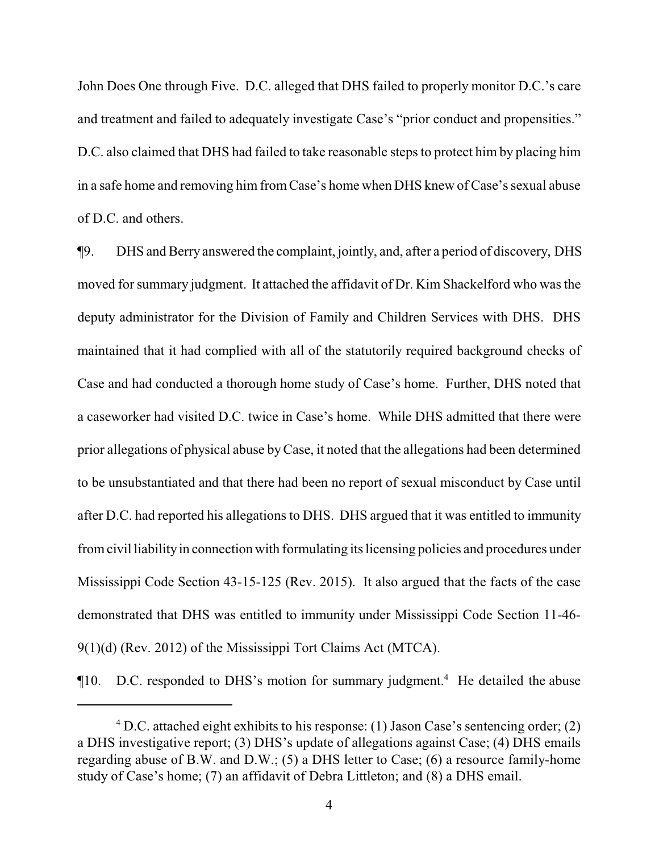John Does One through Five. D.C. alleged that DHS failed to properly monitor D.C.'s care and treatment and failed to adequately investigate Case's "prior conduct and propensities." D.C. also claimed that DHS had failed to take reasonable steps to protect him by placing him in a safe home and removing him from Case's home when DHS knew of Case's sexual abuse of D.C. and others.

¶9. DHS and Berry answered the complaint, jointly, and, after a period of discovery, DHS moved for summary judgment. It attached the affidavit of Dr. Kim Shackelford who was the deputy administrator for the Division of Family and Children Services with DHS. DHS maintained that it had complied with all of the statutorily required background checks of Case and had conducted a thorough home study of Case's home. Further, DHS noted that a caseworker had visited D.C. twice in Case's home. While DHS admitted that there were prior allegations of physical abuse byCase, it noted that the allegations had been determined to be unsubstantiated and that there had been no report of sexual misconduct by Case until after D.C. had reported his allegations to DHS. DHS argued that it was entitled to immunity fromcivil liabilityin connection with formulating its licensing policies and procedures under Mississippi Code Section 43-15-125 (Rev. 2015). It also argued that the facts of the case demonstrated that DHS was entitled to immunity under Mississippi Code Section 11-46- 9(1)(d) (Rev. 2012) of the Mississippi Tort Claims Act (MTCA).

 $\P$ 10. D.C. responded to DHS's motion for summary judgment.<sup>4</sup> He detailed the abuse

 $4$  D.C. attached eight exhibits to his response: (1) Jason Case's sentencing order; (2) a DHS investigative report; (3) DHS's update of allegations against Case; (4) DHS emails regarding abuse of B.W. and D.W.; (5) a DHS letter to Case; (6) a resource family-home study of Case's home; (7) an affidavit of Debra Littleton; and (8) a DHS email.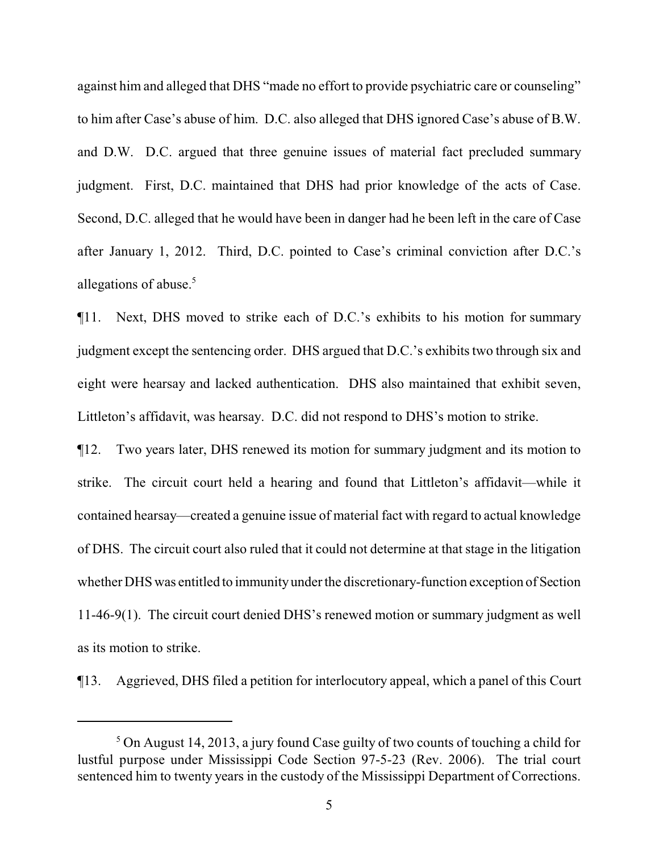against him and alleged that DHS "made no effort to provide psychiatric care or counseling" to him after Case's abuse of him. D.C. also alleged that DHS ignored Case's abuse of B.W. and D.W. D.C. argued that three genuine issues of material fact precluded summary judgment. First, D.C. maintained that DHS had prior knowledge of the acts of Case. Second, D.C. alleged that he would have been in danger had he been left in the care of Case after January 1, 2012. Third, D.C. pointed to Case's criminal conviction after D.C.'s allegations of abuse.<sup>5</sup>

¶11. Next, DHS moved to strike each of D.C.'s exhibits to his motion for summary judgment except the sentencing order. DHS argued that D.C.'s exhibits two through six and eight were hearsay and lacked authentication. DHS also maintained that exhibit seven, Littleton's affidavit, was hearsay. D.C. did not respond to DHS's motion to strike.

¶12. Two years later, DHS renewed its motion for summary judgment and its motion to strike. The circuit court held a hearing and found that Littleton's affidavit—while it contained hearsay—created a genuine issue of material fact with regard to actual knowledge of DHS. The circuit court also ruled that it could not determine at that stage in the litigation whether DHS was entitled to immunityunder the discretionary-function exception of Section 11-46-9(1). The circuit court denied DHS's renewed motion or summary judgment as well as its motion to strike.

¶13. Aggrieved, DHS filed a petition for interlocutory appeal, which a panel of this Court

<sup>5</sup> On August 14, 2013, a jury found Case guilty of two counts of touching a child for lustful purpose under Mississippi Code Section 97-5-23 (Rev. 2006). The trial court sentenced him to twenty years in the custody of the Mississippi Department of Corrections.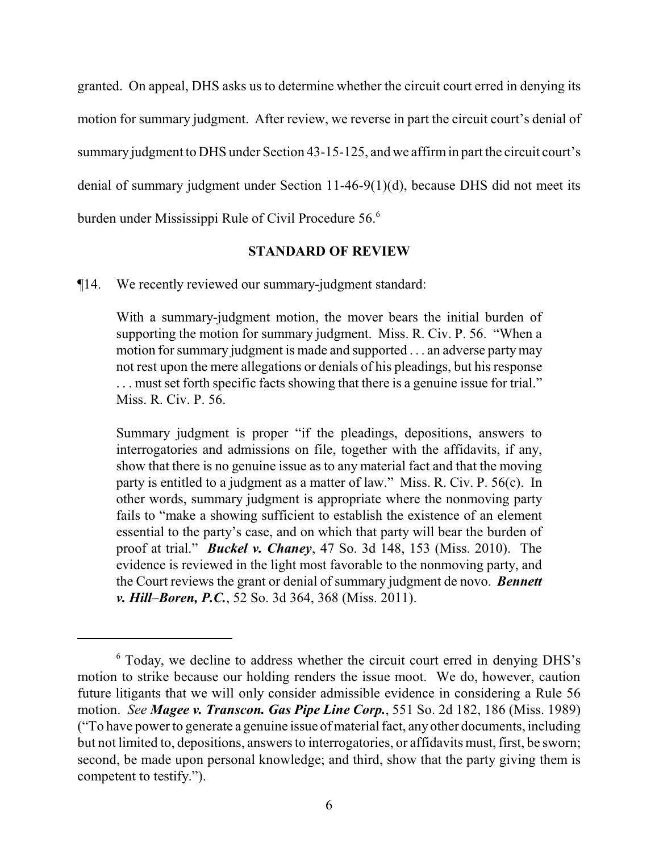granted. On appeal, DHS asks us to determine whether the circuit court erred in denying its motion for summary judgment. After review, we reverse in part the circuit court's denial of summary judgment to DHS under Section 43-15-125, and we affirmin part the circuit court's denial of summary judgment under Section 11-46-9(1)(d), because DHS did not meet its burden under Mississippi Rule of Civil Procedure 56.<sup>6</sup>

#### **STANDARD OF REVIEW**

¶14. We recently reviewed our summary-judgment standard:

With a summary-judgment motion, the mover bears the initial burden of supporting the motion for summary judgment. Miss. R. Civ. P. 56. "When a motion for summary judgment is made and supported . . . an adverse partymay not rest upon the mere allegations or denials of his pleadings, but his response . . . must set forth specific facts showing that there is a genuine issue for trial." Miss. R. Civ. P. 56.

Summary judgment is proper "if the pleadings, depositions, answers to interrogatories and admissions on file, together with the affidavits, if any, show that there is no genuine issue as to any material fact and that the moving party is entitled to a judgment as a matter of law." Miss. R. Civ. P. 56(c). In other words, summary judgment is appropriate where the nonmoving party fails to "make a showing sufficient to establish the existence of an element essential to the party's case, and on which that party will bear the burden of proof at trial." *Buckel v. Chaney*, 47 So. 3d 148, 153 (Miss. 2010). The evidence is reviewed in the light most favorable to the nonmoving party, and the Court reviews the grant or denial of summary judgment de novo. *Bennett v. Hill–Boren, P.C.*, 52 So. 3d 364, 368 (Miss. 2011).

<sup>&</sup>lt;sup>6</sup> Today, we decline to address whether the circuit court erred in denying DHS's motion to strike because our holding renders the issue moot. We do, however, caution future litigants that we will only consider admissible evidence in considering a Rule 56 motion. *See Magee v. Transcon. Gas Pipe Line Corp.*, 551 So. 2d 182, 186 (Miss. 1989) ("To have power to generate a genuine issue of material fact, anyother documents, including but not limited to, depositions, answers to interrogatories, or affidavits must, first, be sworn; second, be made upon personal knowledge; and third, show that the party giving them is competent to testify.").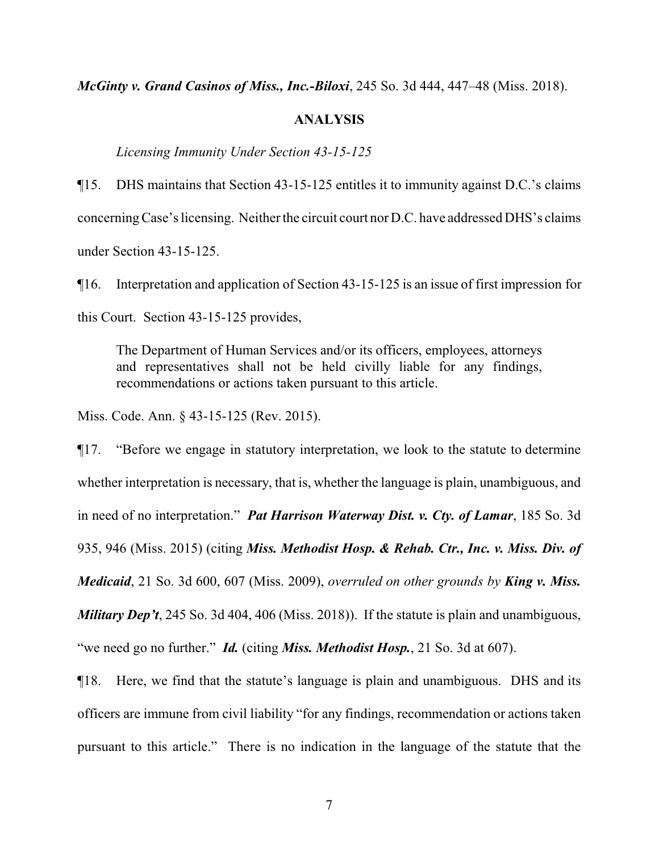*McGinty v. Grand Casinos of Miss., Inc.-Biloxi*, 245 So. 3d 444, 447–48 (Miss. 2018).

#### **ANALYSIS**

*Licensing Immunity Under Section 43-15-125*

¶15. DHS maintains that Section 43-15-125 entitles it to immunity against D.C.'s claims concerning Case's licensing. Neither the circuit court nor D.C. have addressed DHS's claims under Section 43-15-125.

¶16. Interpretation and application of Section 43-15-125 is an issue of first impression for this Court. Section 43-15-125 provides,

The Department of Human Services and/or its officers, employees, attorneys and representatives shall not be held civilly liable for any findings, recommendations or actions taken pursuant to this article.

Miss. Code. Ann. § 43-15-125 (Rev. 2015).

¶17. "Before we engage in statutory interpretation, we look to the statute to determine whether interpretation is necessary, that is, whether the language is plain, unambiguous, and in need of no interpretation." *Pat Harrison Waterway Dist. v. Cty. of Lamar*, 185 So. 3d 935, 946 (Miss. 2015) (citing *Miss. Methodist Hosp. & Rehab. Ctr., Inc. v. Miss. Div. of Medicaid*, 21 So. 3d 600, 607 (Miss. 2009), *overruled on other grounds by King v. Miss. Military Dep't*, 245 So. 3d 404, 406 (Miss. 2018)). If the statute is plain and unambiguous, "we need go no further." *Id.* (citing *Miss. Methodist Hosp.*, 21 So. 3d at 607).

¶18. Here, we find that the statute's language is plain and unambiguous. DHS and its officers are immune from civil liability "for any findings, recommendation or actions taken pursuant to this article." There is no indication in the language of the statute that the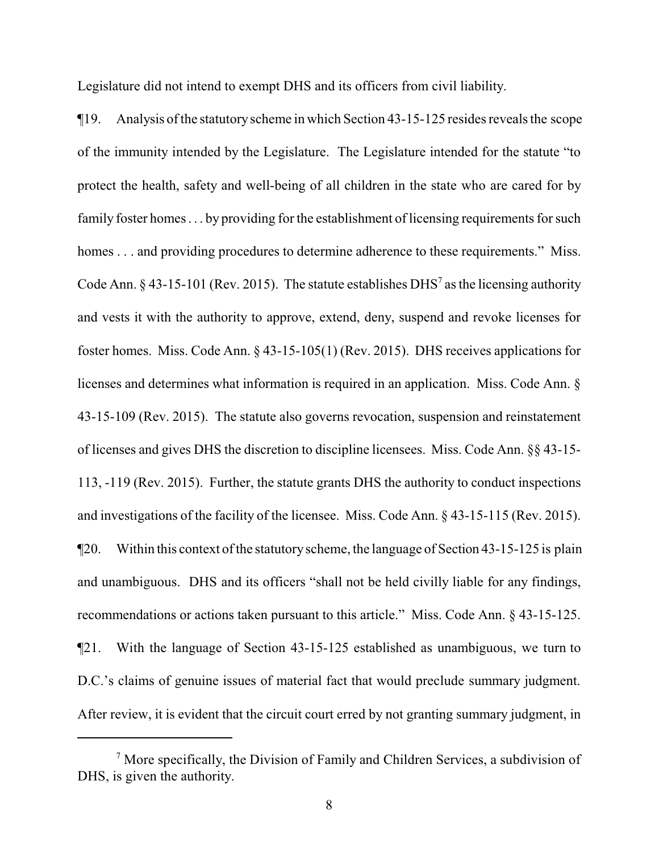Legislature did not intend to exempt DHS and its officers from civil liability.

¶19. Analysis ofthe statutoryscheme in which Section 43-15-125 resides reveals the scope of the immunity intended by the Legislature. The Legislature intended for the statute "to protect the health, safety and well-being of all children in the state who are cared for by family foster homes . . . by providing for the establishment of licensing requirements for such homes . . . and providing procedures to determine adherence to these requirements." Miss. Code Ann. § 43-15-101 (Rev. 2015). The statute establishes DHS<sup>7</sup> as the licensing authority and vests it with the authority to approve, extend, deny, suspend and revoke licenses for foster homes. Miss. Code Ann. § 43-15-105(1) (Rev. 2015). DHS receives applications for licenses and determines what information is required in an application. Miss. Code Ann. § 43-15-109 (Rev. 2015). The statute also governs revocation, suspension and reinstatement of licenses and gives DHS the discretion to discipline licensees. Miss. Code Ann. §§ 43-15- 113, -119 (Rev. 2015). Further, the statute grants DHS the authority to conduct inspections and investigations of the facility of the licensee. Miss. Code Ann. § 43-15-115 (Rev. 2015).  $\P$ 20. Within this context of the statutory scheme, the language of Section 43-15-125 is plain and unambiguous. DHS and its officers "shall not be held civilly liable for any findings, recommendations or actions taken pursuant to this article." Miss. Code Ann. § 43-15-125. ¶21. With the language of Section 43-15-125 established as unambiguous, we turn to D.C.'s claims of genuine issues of material fact that would preclude summary judgment. After review, it is evident that the circuit court erred by not granting summary judgment, in

<sup>&</sup>lt;sup>7</sup> More specifically, the Division of Family and Children Services, a subdivision of DHS, is given the authority.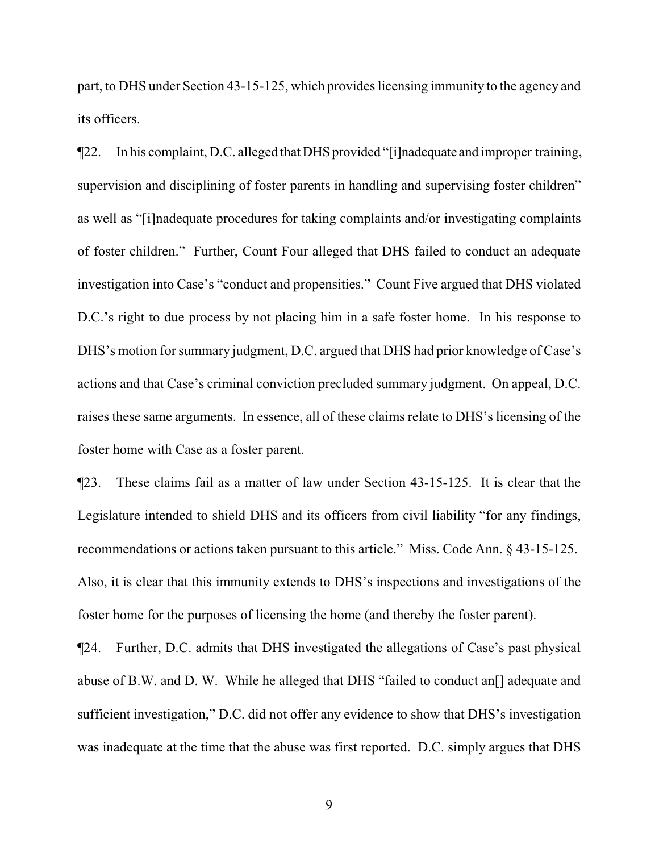part, to DHS under Section 43-15-125, which provides licensing immunity to the agency and its officers.

¶22. In his complaint, D.C. alleged thatDHSprovided "[i]nadequate and improper training, supervision and disciplining of foster parents in handling and supervising foster children" as well as "[i]nadequate procedures for taking complaints and/or investigating complaints of foster children." Further, Count Four alleged that DHS failed to conduct an adequate investigation into Case's "conduct and propensities." Count Five argued that DHS violated D.C.'s right to due process by not placing him in a safe foster home. In his response to DHS's motion for summary judgment, D.C. argued that DHS had prior knowledge of Case's actions and that Case's criminal conviction precluded summary judgment. On appeal, D.C. raises these same arguments. In essence, all of these claims relate to DHS's licensing of the foster home with Case as a foster parent.

¶23. These claims fail as a matter of law under Section 43-15-125. It is clear that the Legislature intended to shield DHS and its officers from civil liability "for any findings, recommendations or actions taken pursuant to this article." Miss. Code Ann. § 43-15-125. Also, it is clear that this immunity extends to DHS's inspections and investigations of the foster home for the purposes of licensing the home (and thereby the foster parent).

¶24. Further, D.C. admits that DHS investigated the allegations of Case's past physical abuse of B.W. and D. W. While he alleged that DHS "failed to conduct an[] adequate and sufficient investigation," D.C. did not offer any evidence to show that DHS's investigation was inadequate at the time that the abuse was first reported. D.C. simply argues that DHS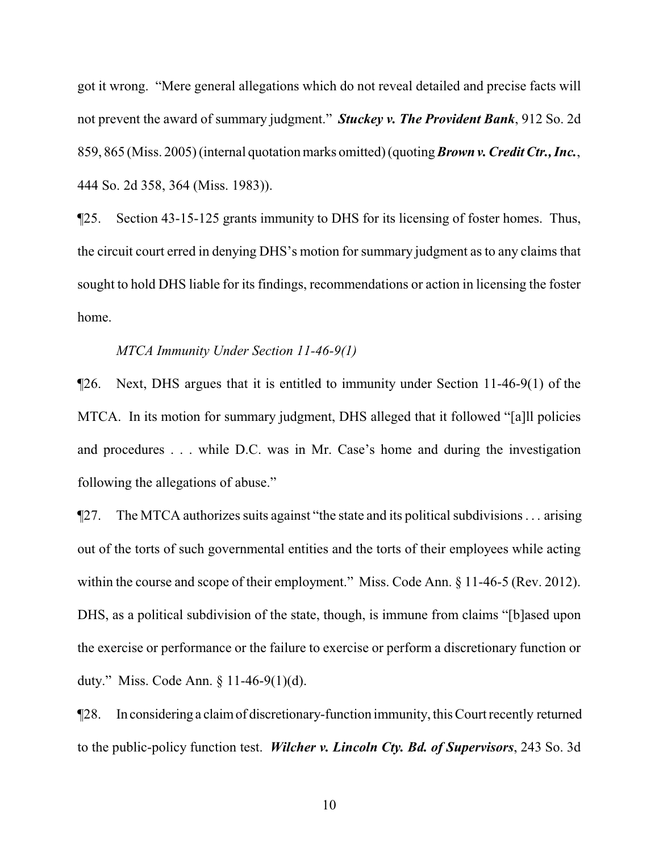got it wrong. "Mere general allegations which do not reveal detailed and precise facts will not prevent the award of summary judgment." *Stuckey v. The Provident Bank*, 912 So. 2d 859, 865 (Miss. 2005) (internal quotation marks omitted) (quoting *Brownv. Credit Ctr., Inc.*, 444 So. 2d 358, 364 (Miss. 1983)).

¶25. Section 43-15-125 grants immunity to DHS for its licensing of foster homes. Thus, the circuit court erred in denying DHS's motion for summary judgment as to any claims that sought to hold DHS liable for its findings, recommendations or action in licensing the foster home.

## *MTCA Immunity Under Section 11-46-9(1)*

¶26. Next, DHS argues that it is entitled to immunity under Section 11-46-9(1) of the MTCA. In its motion for summary judgment, DHS alleged that it followed "[a]ll policies and procedures . . . while D.C. was in Mr. Case's home and during the investigation following the allegations of abuse."

¶27. The MTCA authorizes suits against "the state and its political subdivisions . . . arising out of the torts of such governmental entities and the torts of their employees while acting within the course and scope of their employment." Miss. Code Ann. § 11-46-5 (Rev. 2012). DHS, as a political subdivision of the state, though, is immune from claims "[b]ased upon the exercise or performance or the failure to exercise or perform a discretionary function or duty." Miss. Code Ann. § 11-46-9(1)(d).

¶28. In considering a claimof discretionary-function immunity, this Court recently returned to the public-policy function test. *Wilcher v. Lincoln Cty. Bd. of Supervisors*, 243 So. 3d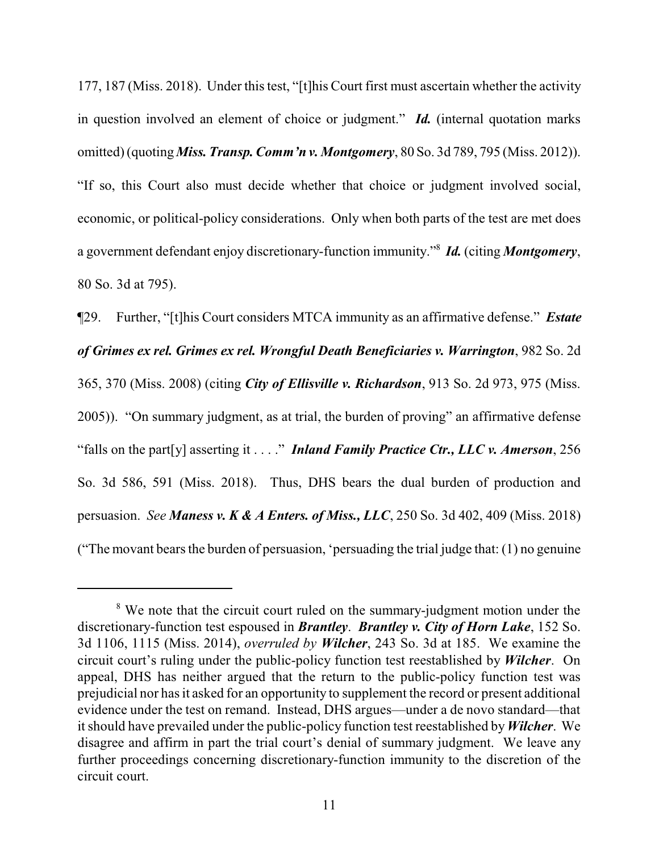177, 187 (Miss. 2018). Under this test, "[t]his Court first must ascertain whether the activity in question involved an element of choice or judgment." *Id.* (internal quotation marks omitted) (quoting *Miss. Transp. Comm'n v. Montgomery*, 80 So. 3d 789, 795 (Miss. 2012)). "If so, this Court also must decide whether that choice or judgment involved social, economic, or political-policy considerations. Only when both parts of the test are met does a government defendant enjoy discretionary-function immunity." 8 *Id.* (citing *Montgomery*, 80 So. 3d at 795).

¶29. Further, "[t]his Court considers MTCA immunity as an affirmative defense." *Estate of Grimes ex rel. Grimes ex rel. Wrongful Death Beneficiaries v. Warrington*, 982 So. 2d 365, 370 (Miss. 2008) (citing *City of Ellisville v. Richardson*, 913 So. 2d 973, 975 (Miss. 2005)). "On summary judgment, as at trial, the burden of proving" an affirmative defense "falls on the part[y] asserting it . . . ." *Inland Family Practice Ctr., LLC v. Amerson*, 256 So. 3d 586, 591 (Miss. 2018). Thus, DHS bears the dual burden of production and persuasion. *See Maness v. K & A Enters. of Miss., LLC*, 250 So. 3d 402, 409 (Miss. 2018) ("The movant bears the burden of persuasion, 'persuading the trial judge that: (1) no genuine

<sup>&</sup>lt;sup>8</sup> We note that the circuit court ruled on the summary-judgment motion under the discretionary-function test espoused in *Brantley*. *Brantley v. City of Horn Lake*, 152 So. 3d 1106, 1115 (Miss. 2014), *overruled by Wilcher*, 243 So. 3d at 185. We examine the circuit court's ruling under the public-policy function test reestablished by *Wilcher*. On appeal, DHS has neither argued that the return to the public-policy function test was prejudicial nor has it asked for an opportunity to supplement the record or present additional evidence under the test on remand. Instead, DHS argues—under a de novo standard—that it should have prevailed under the public-policy function test reestablished by*Wilcher*. We disagree and affirm in part the trial court's denial of summary judgment. We leave any further proceedings concerning discretionary-function immunity to the discretion of the circuit court.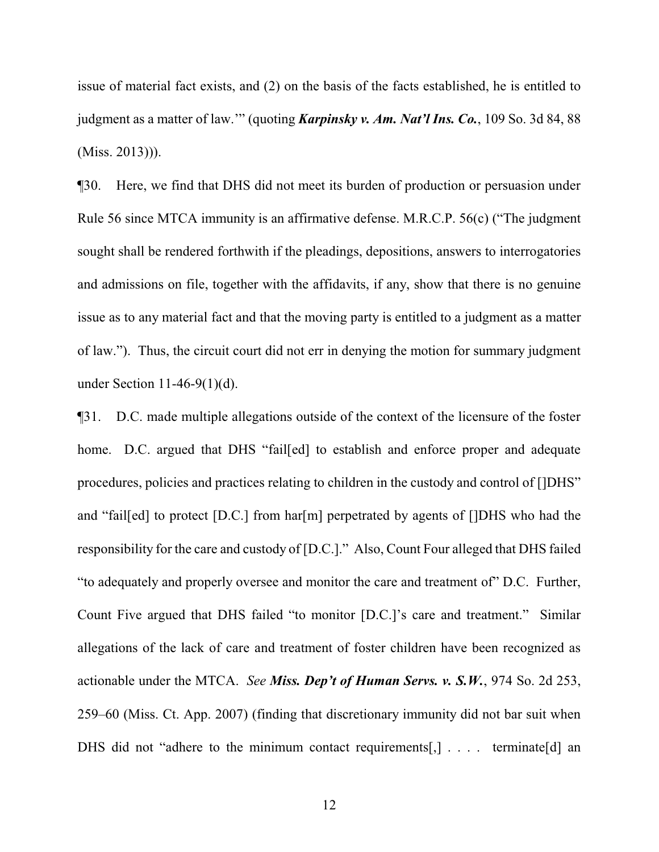issue of material fact exists, and (2) on the basis of the facts established, he is entitled to judgment as a matter of law.'" (quoting *Karpinsky v. Am. Nat'l Ins. Co.*, 109 So. 3d 84, 88 (Miss. 2013))).

¶30. Here, we find that DHS did not meet its burden of production or persuasion under Rule 56 since MTCA immunity is an affirmative defense. M.R.C.P. 56(c) ("The judgment sought shall be rendered forthwith if the pleadings, depositions, answers to interrogatories and admissions on file, together with the affidavits, if any, show that there is no genuine issue as to any material fact and that the moving party is entitled to a judgment as a matter of law."). Thus, the circuit court did not err in denying the motion for summary judgment under Section 11-46-9(1)(d).

¶31. D.C. made multiple allegations outside of the context of the licensure of the foster home. D.C. argued that DHS "fail[ed] to establish and enforce proper and adequate procedures, policies and practices relating to children in the custody and control of []DHS" and "fail[ed] to protect [D.C.] from har[m] perpetrated by agents of []DHS who had the responsibility for the care and custody of [D.C.]." Also, Count Four alleged that DHS failed "to adequately and properly oversee and monitor the care and treatment of" D.C. Further, Count Five argued that DHS failed "to monitor [D.C.]'s care and treatment." Similar allegations of the lack of care and treatment of foster children have been recognized as actionable under the MTCA. *See Miss. Dep't of Human Servs. v. S.W.*, 974 So. 2d 253, 259–60 (Miss. Ct. App. 2007) (finding that discretionary immunity did not bar suit when DHS did not "adhere to the minimum contact requirements[,] . . . . terminate[d] an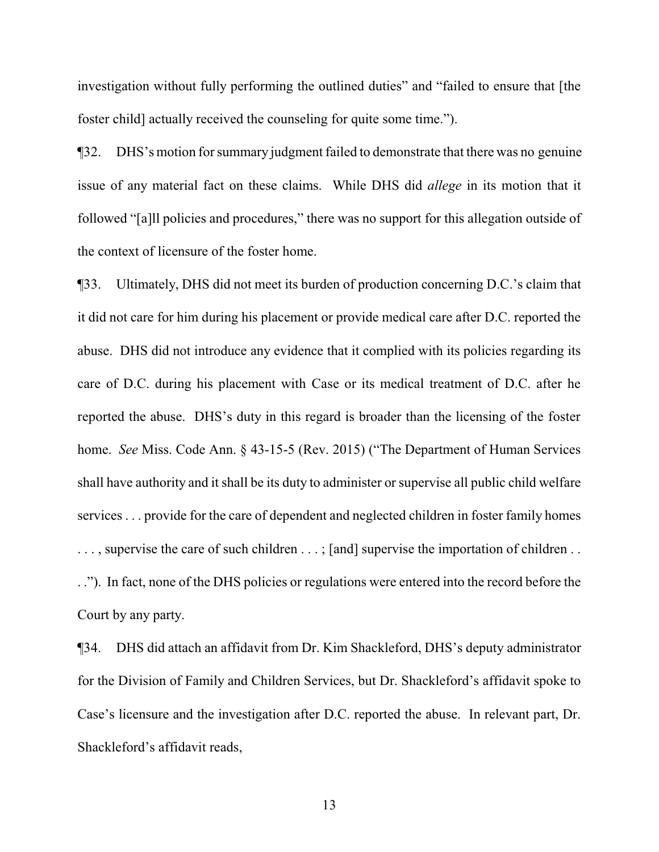investigation without fully performing the outlined duties" and "failed to ensure that [the foster child] actually received the counseling for quite some time.").

¶32. DHS's motion for summary judgment failed to demonstrate that there was no genuine issue of any material fact on these claims. While DHS did *allege* in its motion that it followed "[a]ll policies and procedures," there was no support for this allegation outside of the context of licensure of the foster home.

¶33. Ultimately, DHS did not meet its burden of production concerning D.C.'s claim that it did not care for him during his placement or provide medical care after D.C. reported the abuse. DHS did not introduce any evidence that it complied with its policies regarding its care of D.C. during his placement with Case or its medical treatment of D.C. after he reported the abuse. DHS's duty in this regard is broader than the licensing of the foster home. *See* Miss. Code Ann. § 43-15-5 (Rev. 2015) ("The Department of Human Services shall have authority and it shall be its duty to administer or supervise all public child welfare services . . . provide for the care of dependent and neglected children in foster family homes ..., supervise the care of such children ...; [and] supervise the importation of children ... . ."). In fact, none of the DHS policies or regulations were entered into the record before the Court by any party.

¶34. DHS did attach an affidavit from Dr. Kim Shackleford, DHS's deputy administrator for the Division of Family and Children Services, but Dr. Shackleford's affidavit spoke to Case's licensure and the investigation after D.C. reported the abuse. In relevant part, Dr. Shackleford's affidavit reads,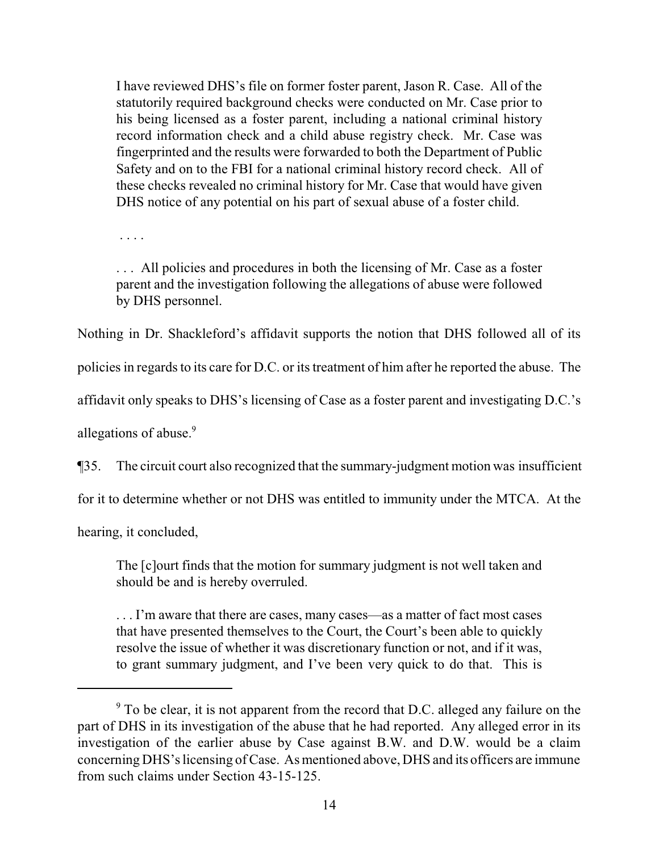I have reviewed DHS's file on former foster parent, Jason R. Case. All of the statutorily required background checks were conducted on Mr. Case prior to his being licensed as a foster parent, including a national criminal history record information check and a child abuse registry check. Mr. Case was fingerprinted and the results were forwarded to both the Department of Public Safety and on to the FBI for a national criminal history record check. All of these checks revealed no criminal history for Mr. Case that would have given DHS notice of any potential on his part of sexual abuse of a foster child.

. . . .

. . . All policies and procedures in both the licensing of Mr. Case as a foster parent and the investigation following the allegations of abuse were followed by DHS personnel.

Nothing in Dr. Shackleford's affidavit supports the notion that DHS followed all of its

policies in regards to its care for D.C. or its treatment of him after he reported the abuse. The

affidavit only speaks to DHS's licensing of Case as a foster parent and investigating D.C.'s

allegations of abuse.<sup>9</sup>

¶35. The circuit court also recognized that the summary-judgment motion was insufficient

for it to determine whether or not DHS was entitled to immunity under the MTCA. At the

hearing, it concluded,

The [c]ourt finds that the motion for summary judgment is not well taken and should be and is hereby overruled.

. . . I'm aware that there are cases, many cases—as a matter of fact most cases that have presented themselves to the Court, the Court's been able to quickly resolve the issue of whether it was discretionary function or not, and if it was, to grant summary judgment, and I've been very quick to do that. This is

<sup>&</sup>lt;sup>9</sup> To be clear, it is not apparent from the record that D.C. alleged any failure on the part of DHS in its investigation of the abuse that he had reported. Any alleged error in its investigation of the earlier abuse by Case against B.W. and D.W. would be a claim concerning DHS's licensing ofCase. As mentioned above, DHS and its officers are immune from such claims under Section 43-15-125.